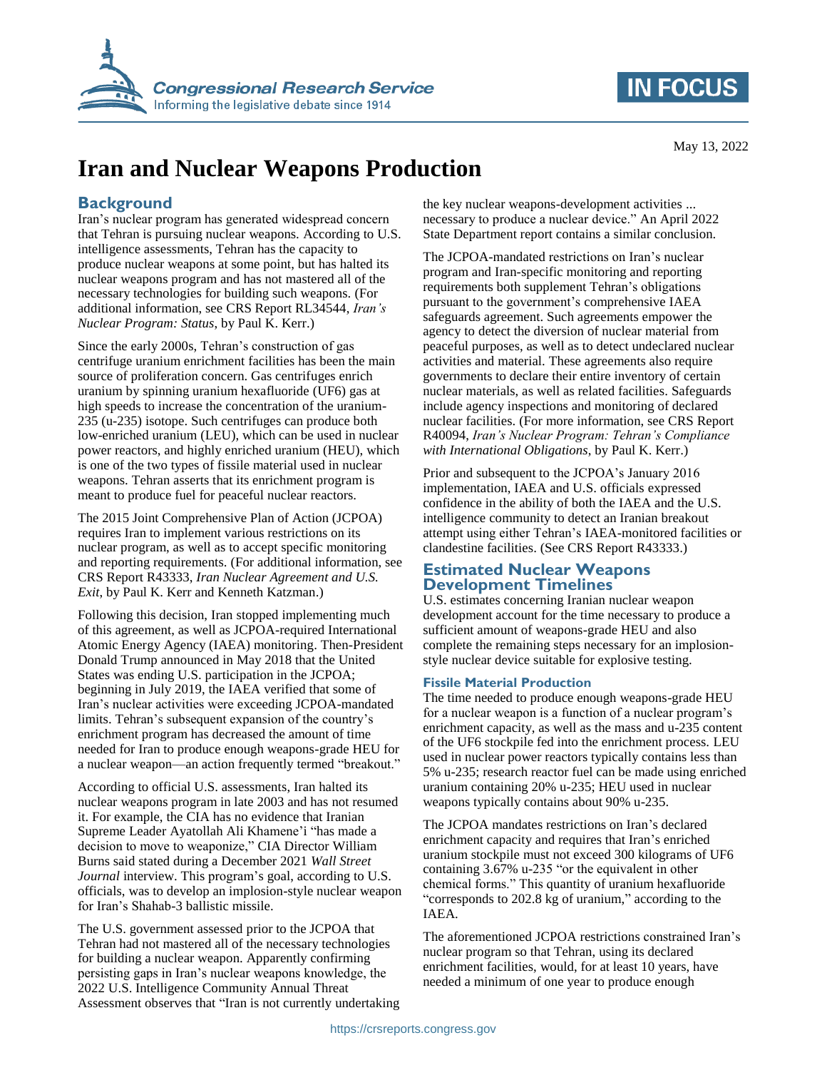



# **Iran and Nuclear Weapons Production**

### **Background**

Iran's nuclear program has generated widespread concern that Tehran is pursuing nuclear weapons. According to U.S. intelligence assessments, Tehran has the capacity to produce nuclear weapons at some point, but has halted its nuclear weapons program and has not mastered all of the necessary technologies for building such weapons. (For additional information, see CRS Report RL34544, *Iran's Nuclear Program: Status*, by Paul K. Kerr.)

Since the early 2000s, Tehran's construction of gas centrifuge uranium enrichment facilities has been the main source of proliferation concern. Gas centrifuges enrich uranium by spinning uranium hexafluoride (UF6) gas at high speeds to increase the concentration of the uranium-235 (u-235) isotope. Such centrifuges can produce both low-enriched uranium (LEU), which can be used in nuclear power reactors, and highly enriched uranium (HEU), which is one of the two types of fissile material used in nuclear weapons. Tehran asserts that its enrichment program is meant to produce fuel for peaceful nuclear reactors.

The 2015 Joint Comprehensive Plan of Action (JCPOA) requires Iran to implement various restrictions on its nuclear program, as well as to accept specific monitoring and reporting requirements. (For additional information, see CRS Report R43333, *Iran Nuclear Agreement and U.S. Exit*, by Paul K. Kerr and Kenneth Katzman.)

Following this decision, Iran stopped implementing much of this agreement, as well as JCPOA-required International Atomic Energy Agency (IAEA) monitoring. Then-President Donald Trump announced in May 2018 that the United States was ending U.S. participation in the JCPOA; beginning in July 2019, the IAEA verified that some of Iran's nuclear activities were exceeding JCPOA-mandated limits. Tehran's subsequent expansion of the country's enrichment program has decreased the amount of time needed for Iran to produce enough weapons-grade HEU for a nuclear weapon—an action frequently termed "breakout."

According to official U.S. assessments, Iran halted its nuclear weapons program in late 2003 and has not resumed it. For example, the CIA has no evidence that Iranian Supreme Leader Ayatollah Ali Khamene'i "has made a decision to move to weaponize," CIA Director William Burns said stated during a December 2021 *Wall Street Journal* interview. This program's goal, according to U.S. officials, was to develop an implosion-style nuclear weapon for Iran's Shahab-3 ballistic missile.

The U.S. government assessed prior to the JCPOA that Tehran had not mastered all of the necessary technologies for building a nuclear weapon. Apparently confirming persisting gaps in Iran's nuclear weapons knowledge, the 2022 U.S. Intelligence Community Annual Threat Assessment observes that "Iran is not currently undertaking the key nuclear weapons-development activities ... necessary to produce a nuclear device." An April 2022 State Department report contains a similar conclusion.

The JCPOA-mandated restrictions on Iran's nuclear program and Iran-specific monitoring and reporting requirements both supplement Tehran's obligations pursuant to the government's comprehensive IAEA safeguards agreement. Such agreements empower the agency to detect the diversion of nuclear material from peaceful purposes, as well as to detect undeclared nuclear activities and material. These agreements also require governments to declare their entire inventory of certain nuclear materials, as well as related facilities. Safeguards include agency inspections and monitoring of declared nuclear facilities. (For more information, see CRS Report R40094, *Iran's Nuclear Program: Tehran's Compliance with International Obligations*, by Paul K. Kerr.)

Prior and subsequent to the JCPOA's January 2016 implementation, IAEA and U.S. officials expressed confidence in the ability of both the IAEA and the U.S. intelligence community to detect an Iranian breakout attempt using either Tehran's IAEA-monitored facilities or clandestine facilities. (See CRS Report R43333.)

#### **Estimated Nuclear Weapons Development Timelines**

U.S. estimates concerning Iranian nuclear weapon development account for the time necessary to produce a sufficient amount of weapons-grade HEU and also complete the remaining steps necessary for an implosionstyle nuclear device suitable for explosive testing.

#### **Fissile Material Production**

The time needed to produce enough weapons-grade HEU for a nuclear weapon is a function of a nuclear program's enrichment capacity, as well as the mass and u-235 content of the UF6 stockpile fed into the enrichment process. LEU used in nuclear power reactors typically contains less than 5% u-235; research reactor fuel can be made using enriched uranium containing 20% u-235; HEU used in nuclear weapons typically contains about 90% u-235.

The JCPOA mandates restrictions on Iran's declared enrichment capacity and requires that Iran's enriched uranium stockpile must not exceed 300 kilograms of UF6 containing 3.67% u-235 "or the equivalent in other chemical forms." This quantity of uranium hexafluoride "corresponds to 202.8 kg of uranium," according to the IAEA.

The aforementioned JCPOA restrictions constrained Iran's nuclear program so that Tehran, using its declared enrichment facilities, would, for at least 10 years, have needed a minimum of one year to produce enough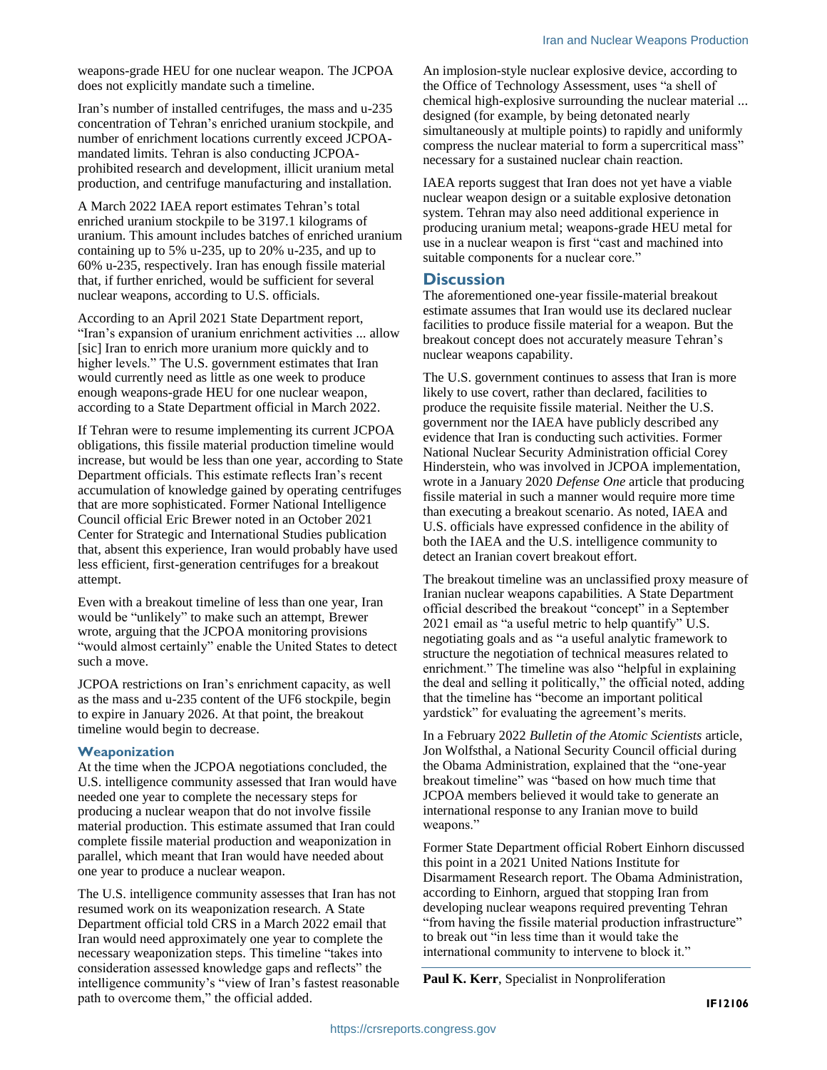weapons-grade HEU for one nuclear weapon. The JCPOA does not explicitly mandate such a timeline.

Iran's number of installed centrifuges, the mass and u-235 concentration of Tehran's enriched uranium stockpile, and number of enrichment locations currently exceed JCPOAmandated limits. Tehran is also conducting JCPOAprohibited research and development, illicit uranium metal production, and centrifuge manufacturing and installation.

A March 2022 IAEA report estimates Tehran's total enriched uranium stockpile to be 3197.1 kilograms of uranium. This amount includes batches of enriched uranium containing up to 5% u-235, up to 20% u-235, and up to 60% u-235, respectively. Iran has enough fissile material that, if further enriched, would be sufficient for several nuclear weapons, according to U.S. officials.

According to an April 2021 State Department report, "Iran's expansion of uranium enrichment activities ... allow [sic] Iran to enrich more uranium more quickly and to higher levels." The U.S. government estimates that Iran would currently need as little as one week to produce enough weapons-grade HEU for one nuclear weapon, according to a State Department official in March 2022.

If Tehran were to resume implementing its current JCPOA obligations, this fissile material production timeline would increase, but would be less than one year, according to State Department officials. This estimate reflects Iran's recent accumulation of knowledge gained by operating centrifuges that are more sophisticated. Former National Intelligence Council official Eric Brewer noted in an October 2021 Center for Strategic and International Studies publication that, absent this experience, Iran would probably have used less efficient, first-generation centrifuges for a breakout attempt.

Even with a breakout timeline of less than one year, Iran would be "unlikely" to make such an attempt, Brewer wrote, arguing that the JCPOA monitoring provisions "would almost certainly" enable the United States to detect such a move.

JCPOA restrictions on Iran's enrichment capacity, as well as the mass and u-235 content of the UF6 stockpile, begin to expire in January 2026. At that point, the breakout timeline would begin to decrease.

#### **Weaponization**

At the time when the JCPOA negotiations concluded, the U.S. intelligence community assessed that Iran would have needed one year to complete the necessary steps for producing a nuclear weapon that do not involve fissile material production. This estimate assumed that Iran could complete fissile material production and weaponization in parallel, which meant that Iran would have needed about one year to produce a nuclear weapon.

The U.S. intelligence community assesses that Iran has not resumed work on its weaponization research. A State Department official told CRS in a March 2022 email that Iran would need approximately one year to complete the necessary weaponization steps. This timeline "takes into consideration assessed knowledge gaps and reflects" the intelligence community's "view of Iran's fastest reasonable path to overcome them," the official added.

An implosion-style nuclear explosive device, according to the Office of Technology Assessment, uses "a shell of chemical high-explosive surrounding the nuclear material ... designed (for example, by being detonated nearly simultaneously at multiple points) to rapidly and uniformly compress the nuclear material to form a supercritical mass" necessary for a sustained nuclear chain reaction.

IAEA reports suggest that Iran does not yet have a viable nuclear weapon design or a suitable explosive detonation system. Tehran may also need additional experience in producing uranium metal; weapons-grade HEU metal for use in a nuclear weapon is first "cast and machined into suitable components for a nuclear core."

#### **Discussion**

The aforementioned one-year fissile-material breakout estimate assumes that Iran would use its declared nuclear facilities to produce fissile material for a weapon. But the breakout concept does not accurately measure Tehran's nuclear weapons capability.

The U.S. government continues to assess that Iran is more likely to use covert, rather than declared, facilities to produce the requisite fissile material. Neither the U.S. government nor the IAEA have publicly described any evidence that Iran is conducting such activities. Former National Nuclear Security Administration official Corey Hinderstein, who was involved in JCPOA implementation, wrote in a January 2020 *Defense One* article that producing fissile material in such a manner would require more time than executing a breakout scenario. As noted, IAEA and U.S. officials have expressed confidence in the ability of both the IAEA and the U.S. intelligence community to detect an Iranian covert breakout effort.

The breakout timeline was an unclassified proxy measure of Iranian nuclear weapons capabilities. A State Department official described the breakout "concept" in a September 2021 email as "a useful metric to help quantify" U.S. negotiating goals and as "a useful analytic framework to structure the negotiation of technical measures related to enrichment." The timeline was also "helpful in explaining the deal and selling it politically," the official noted, adding that the timeline has "become an important political yardstick" for evaluating the agreement's merits.

In a February 2022 *Bulletin of the Atomic Scientists* article, Jon Wolfsthal, a National Security Council official during the Obama Administration, explained that the "one-year breakout timeline" was "based on how much time that JCPOA members believed it would take to generate an international response to any Iranian move to build weapons."

Former State Department official Robert Einhorn discussed this point in a 2021 United Nations Institute for Disarmament Research report. The Obama Administration, according to Einhorn, argued that stopping Iran from developing nuclear weapons required preventing Tehran "from having the fissile material production infrastructure" to break out "in less time than it would take the international community to intervene to block it."

**Paul K. Kerr**, Specialist in Nonproliferation